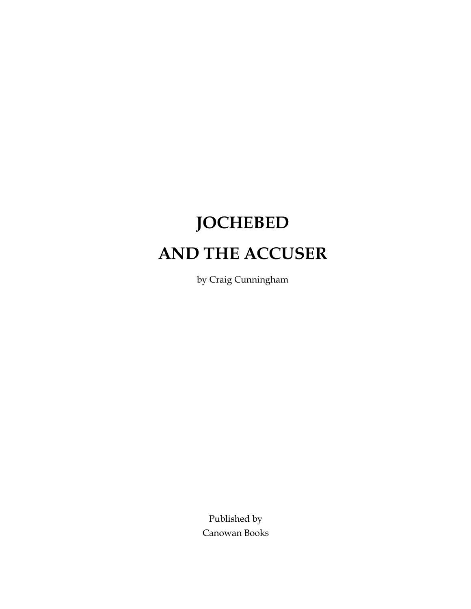# **JOCHEBED AND THE ACCUSER**

by Craig Cunningham

Published by Canowan Books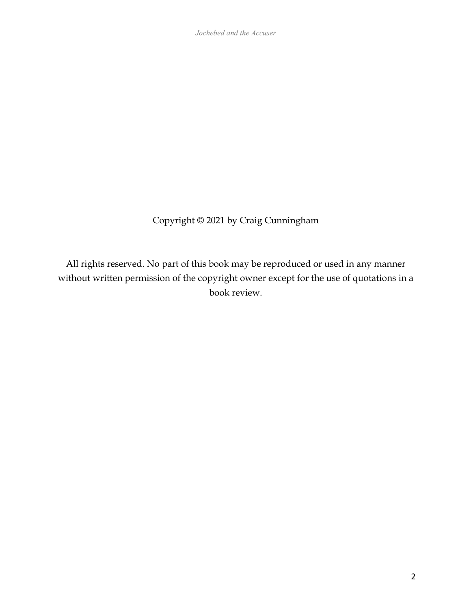*Jochebed and the Accuser*

Copyright © 2021 by Craig Cunningham

All rights reserved. No part of this book may be reproduced or used in any manner without written permission of the copyright owner except for the use of quotations in a book review.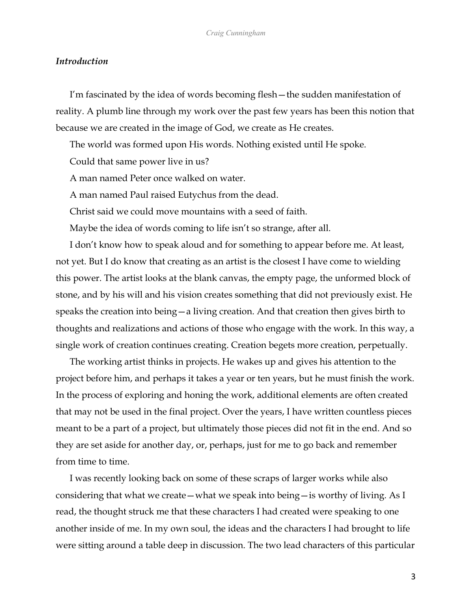#### *Introduction*

I'm fascinated by the idea of words becoming flesh—the sudden manifestation of reality. A plumb line through my work over the past few years has been this notion that because we are created in the image of God, we create as He creates.

The world was formed upon His words. Nothing existed until He spoke. Could that same power live in us?

A man named Peter once walked on water.

A man named Paul raised Eutychus from the dead.

Christ said we could move mountains with a seed of faith.

Maybe the idea of words coming to life isn't so strange, after all.

I don't know how to speak aloud and for something to appear before me. At least, not yet. But I do know that creating as an artist is the closest I have come to wielding this power. The artist looks at the blank canvas, the empty page, the unformed block of stone, and by his will and his vision creates something that did not previously exist. He speaks the creation into being—a living creation. And that creation then gives birth to thoughts and realizations and actions of those who engage with the work. In this way, a single work of creation continues creating. Creation begets more creation, perpetually.

The working artist thinks in projects. He wakes up and gives his attention to the project before him, and perhaps it takes a year or ten years, but he must finish the work. In the process of exploring and honing the work, additional elements are often created that may not be used in the final project. Over the years, I have written countless pieces meant to be a part of a project, but ultimately those pieces did not fit in the end. And so they are set aside for another day, or, perhaps, just for me to go back and remember from time to time.

I was recently looking back on some of these scraps of larger works while also considering that what we create—what we speak into being—is worthy of living. As I read, the thought struck me that these characters I had created were speaking to one another inside of me. In my own soul, the ideas and the characters I had brought to life were sitting around a table deep in discussion. The two lead characters of this particular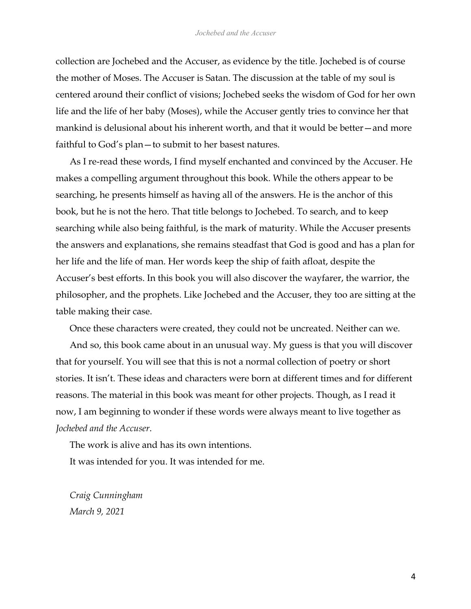collection are Jochebed and the Accuser, as evidence by the title. Jochebed is of course the mother of Moses. The Accuser is Satan. The discussion at the table of my soul is centered around their conflict of visions; Jochebed seeks the wisdom of God for her own life and the life of her baby (Moses), while the Accuser gently tries to convince her that mankind is delusional about his inherent worth, and that it would be better—and more faithful to God's plan—to submit to her basest natures.

As I re-read these words, I find myself enchanted and convinced by the Accuser. He makes a compelling argument throughout this book. While the others appear to be searching, he presents himself as having all of the answers. He is the anchor of this book, but he is not the hero. That title belongs to Jochebed. To search, and to keep searching while also being faithful, is the mark of maturity. While the Accuser presents the answers and explanations, she remains steadfast that God is good and has a plan for her life and the life of man. Her words keep the ship of faith afloat, despite the Accuser's best efforts. In this book you will also discover the wayfarer, the warrior, the philosopher, and the prophets. Like Jochebed and the Accuser, they too are sitting at the table making their case.

Once these characters were created, they could not be uncreated. Neither can we.

And so, this book came about in an unusual way. My guess is that you will discover that for yourself. You will see that this is not a normal collection of poetry or short stories. It isn't. These ideas and characters were born at different times and for different reasons. The material in this book was meant for other projects. Though, as I read it now, I am beginning to wonder if these words were always meant to live together as *Jochebed and the Accuser*.

The work is alive and has its own intentions.

It was intended for you. It was intended for me.

*Craig Cunningham March 9, 2021*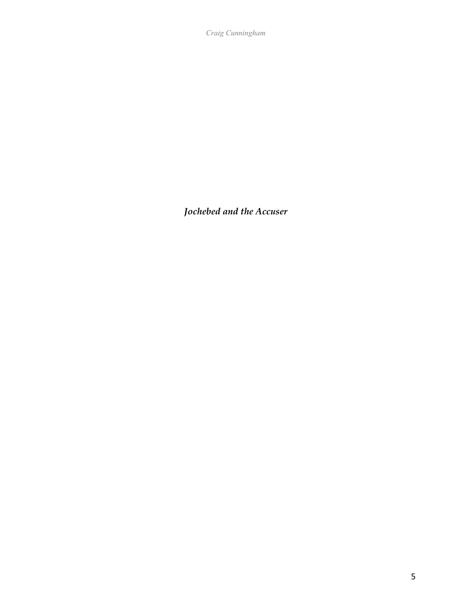*Craig Cunningham*

*Jochebed and the Accuser*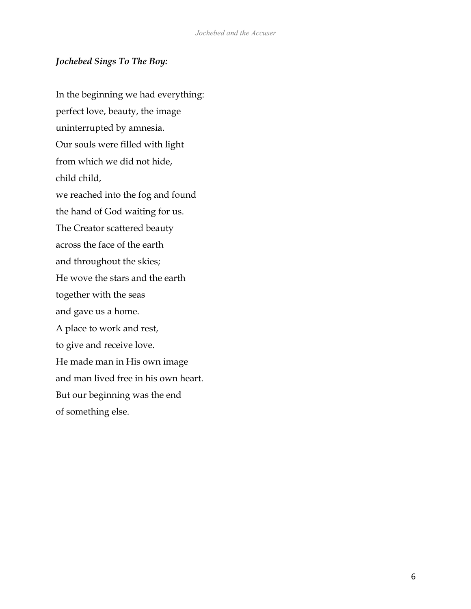## *Jochebed Sings To The Boy:*

In the beginning we had everything: perfect love, beauty, the image uninterrupted by amnesia. Our souls were filled with light from which we did not hide, child child, we reached into the fog and found the hand of God waiting for us. The Creator scattered beauty across the face of the earth and throughout the skies; He wove the stars and the earth together with the seas and gave us a home. A place to work and rest, to give and receive love. He made man in His own image and man lived free in his own heart. But our beginning was the end of something else.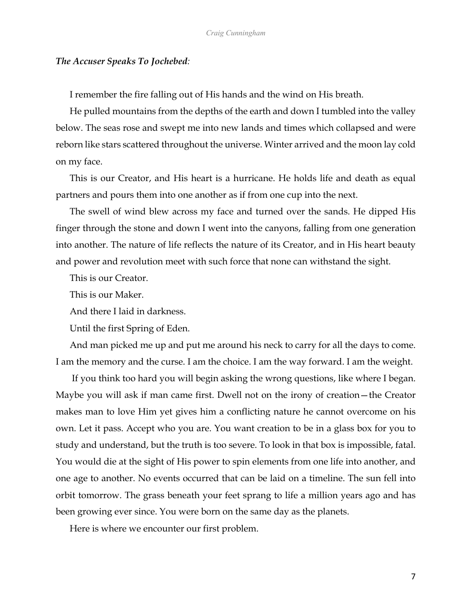#### *The Accuser Speaks To Jochebed:*

I remember the fire falling out of His hands and the wind on His breath.

He pulled mountains from the depths of the earth and down I tumbled into the valley below. The seas rose and swept me into new lands and times which collapsed and were reborn like stars scattered throughout the universe. Winter arrived and the moon lay cold on my face.

This is our Creator, and His heart is a hurricane. He holds life and death as equal partners and pours them into one another as if from one cup into the next.

The swell of wind blew across my face and turned over the sands. He dipped His finger through the stone and down I went into the canyons, falling from one generation into another. The nature of life reflects the nature of its Creator, and in His heart beauty and power and revolution meet with such force that none can withstand the sight.

This is our Creator.

This is our Maker.

And there I laid in darkness.

Until the first Spring of Eden.

And man picked me up and put me around his neck to carry for all the days to come. I am the memory and the curse. I am the choice. I am the way forward. I am the weight.

If you think too hard you will begin asking the wrong questions, like where I began. Maybe you will ask if man came first. Dwell not on the irony of creation—the Creator makes man to love Him yet gives him a conflicting nature he cannot overcome on his own. Let it pass. Accept who you are. You want creation to be in a glass box for you to study and understand, but the truth is too severe. To look in that box is impossible, fatal. You would die at the sight of His power to spin elements from one life into another, and one age to another. No events occurred that can be laid on a timeline. The sun fell into orbit tomorrow. The grass beneath your feet sprang to life a million years ago and has been growing ever since. You were born on the same day as the planets.

Here is where we encounter our first problem.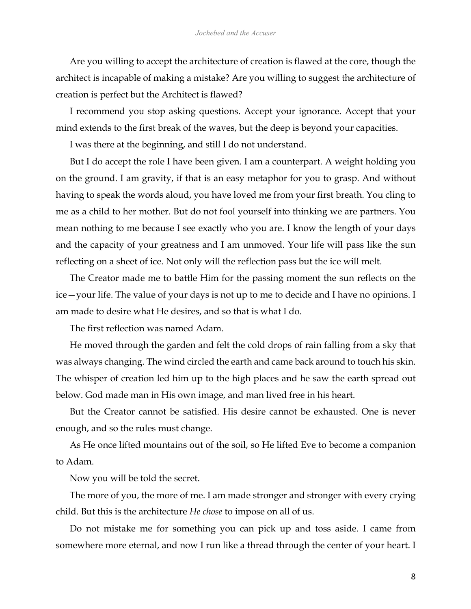Are you willing to accept the architecture of creation is flawed at the core, though the architect is incapable of making a mistake? Are you willing to suggest the architecture of creation is perfect but the Architect is flawed?

I recommend you stop asking questions. Accept your ignorance. Accept that your mind extends to the first break of the waves, but the deep is beyond your capacities.

I was there at the beginning, and still I do not understand.

But I do accept the role I have been given. I am a counterpart. A weight holding you on the ground. I am gravity, if that is an easy metaphor for you to grasp. And without having to speak the words aloud, you have loved me from your first breath. You cling to me as a child to her mother. But do not fool yourself into thinking we are partners. You mean nothing to me because I see exactly who you are. I know the length of your days and the capacity of your greatness and I am unmoved. Your life will pass like the sun reflecting on a sheet of ice. Not only will the reflection pass but the ice will melt.

The Creator made me to battle Him for the passing moment the sun reflects on the ice—your life. The value of your days is not up to me to decide and I have no opinions. I am made to desire what He desires, and so that is what I do.

The first reflection was named Adam.

He moved through the garden and felt the cold drops of rain falling from a sky that was always changing. The wind circled the earth and came back around to touch his skin. The whisper of creation led him up to the high places and he saw the earth spread out below. God made man in His own image, and man lived free in his heart.

But the Creator cannot be satisfied. His desire cannot be exhausted. One is never enough, and so the rules must change.

As He once lifted mountains out of the soil, so He lifted Eve to become a companion to Adam.

Now you will be told the secret.

The more of you, the more of me. I am made stronger and stronger with every crying child. But this is the architecture *He chose* to impose on all of us.

Do not mistake me for something you can pick up and toss aside. I came from somewhere more eternal, and now I run like a thread through the center of your heart. I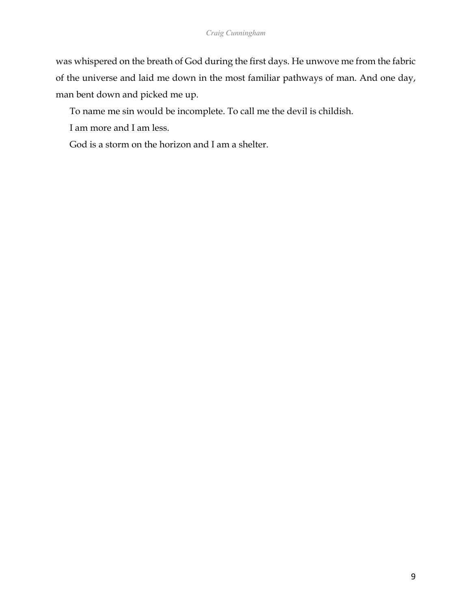was whispered on the breath of God during the first days. He unwove me from the fabric of the universe and laid me down in the most familiar pathways of man. And one day, man bent down and picked me up.

To name me sin would be incomplete. To call me the devil is childish.

I am more and I am less.

God is a storm on the horizon and I am a shelter.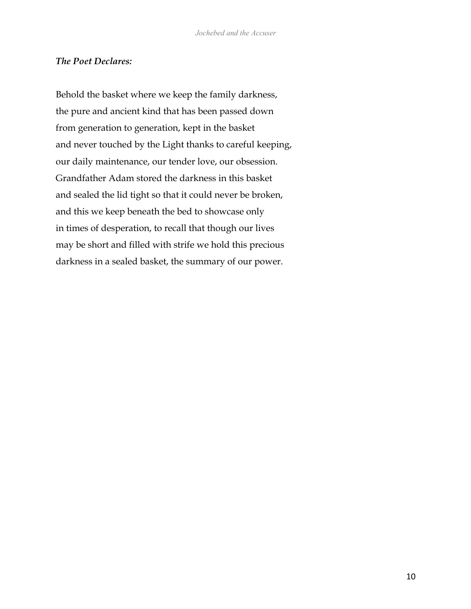#### *The Poet Declares:*

Behold the basket where we keep the family darkness, the pure and ancient kind that has been passed down from generation to generation, kept in the basket and never touched by the Light thanks to careful keeping, our daily maintenance, our tender love, our obsession. Grandfather Adam stored the darkness in this basket and sealed the lid tight so that it could never be broken, and this we keep beneath the bed to showcase only in times of desperation, to recall that though our lives may be short and filled with strife we hold this precious darkness in a sealed basket, the summary of our power.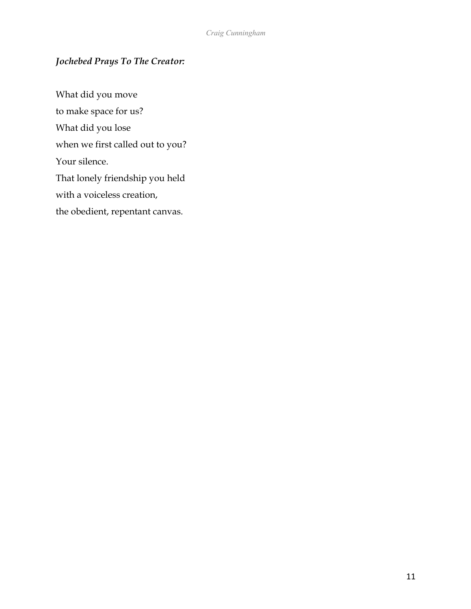# *Jochebed Prays To The Creator:*

What did you move to make space for us? What did you lose when we first called out to you? Your silence. That lonely friendship you held with a voiceless creation, the obedient, repentant canvas.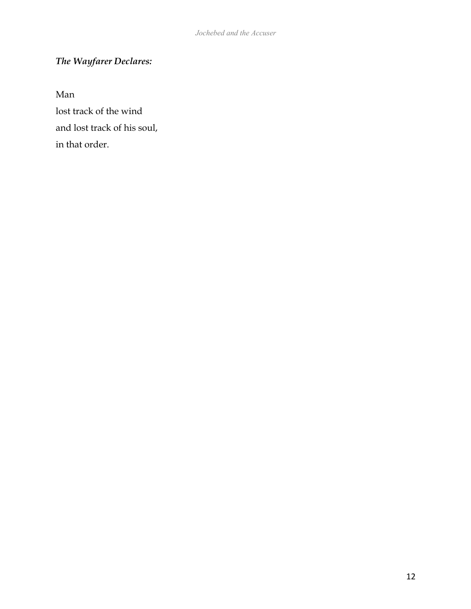# *The Wayfarer Declares:*

Man

lost track of the wind and lost track of his soul, in that order.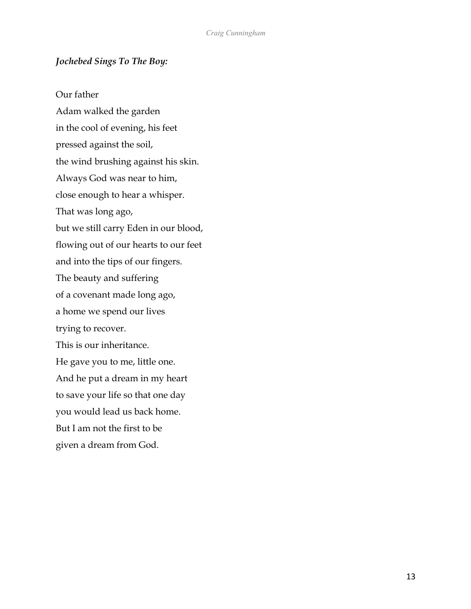## *Jochebed Sings To The Boy:*

Our father Adam walked the garden in the cool of evening, his feet pressed against the soil, the wind brushing against his skin. Always God was near to him, close enough to hear a whisper. That was long ago, but we still carry Eden in our blood, flowing out of our hearts to our feet and into the tips of our fingers. The beauty and suffering of a covenant made long ago, a home we spend our lives trying to recover. This is our inheritance. He gave you to me, little one. And he put a dream in my heart to save your life so that one day you would lead us back home. But I am not the first to be given a dream from God.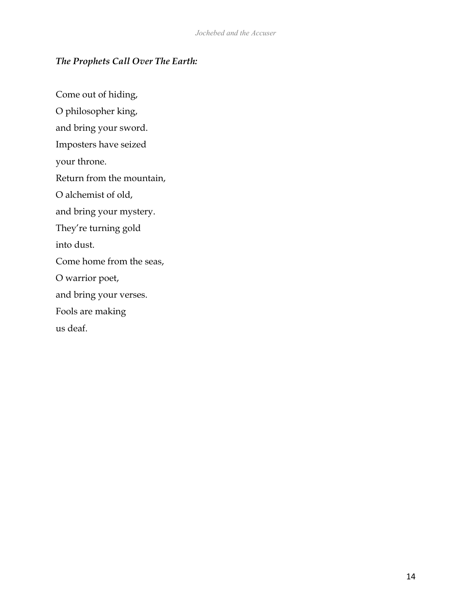# *The Prophets Call Over The Earth:*

Come out of hiding, O philosopher king, and bring your sword. Imposters have seized your throne. Return from the mountain, O alchemist of old, and bring your mystery. They're turning gold into dust. Come home from the seas, O warrior poet, and bring your verses. Fools are making us deaf.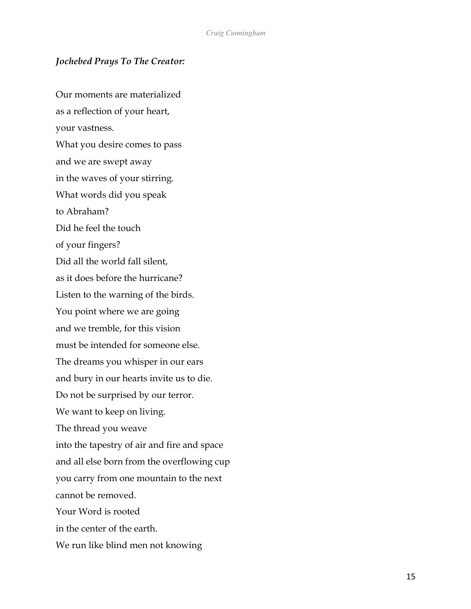## *Jochebed Prays To The Creator:*

Our moments are materialized as a reflection of your heart, your vastness. What you desire comes to pass and we are swept away in the waves of your stirring. What words did you speak to Abraham? Did he feel the touch of your fingers? Did all the world fall silent, as it does before the hurricane? Listen to the warning of the birds. You point where we are going and we tremble, for this vision must be intended for someone else. The dreams you whisper in our ears and bury in our hearts invite us to die. Do not be surprised by our terror. We want to keep on living. The thread you weave into the tapestry of air and fire and space and all else born from the overflowing cup you carry from one mountain to the next cannot be removed. Your Word is rooted in the center of the earth. We run like blind men not knowing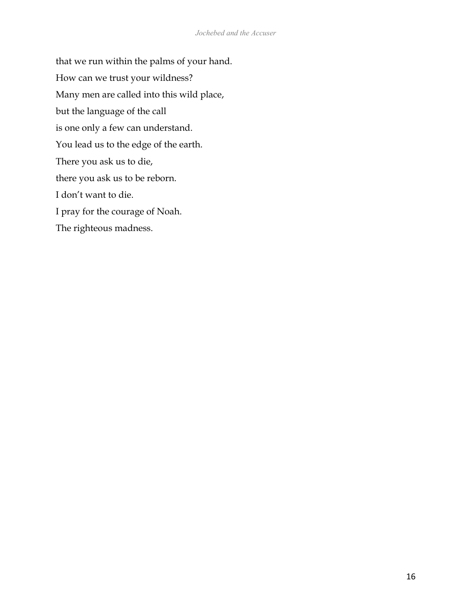that we run within the palms of your hand. How can we trust your wildness? Many men are called into this wild place, but the language of the call is one only a few can understand. You lead us to the edge of the earth. There you ask us to die, there you ask us to be reborn. I don't want to die. I pray for the courage of Noah. The righteous madness.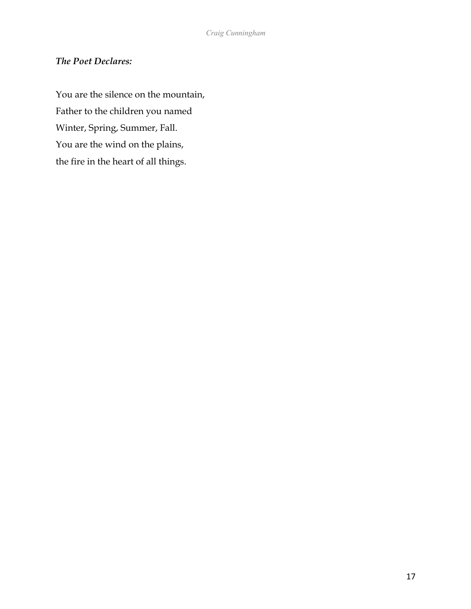# *The Poet Declares:*

You are the silence on the mountain, Father to the children you named Winter, Spring, Summer, Fall. You are the wind on the plains, the fire in the heart of all things.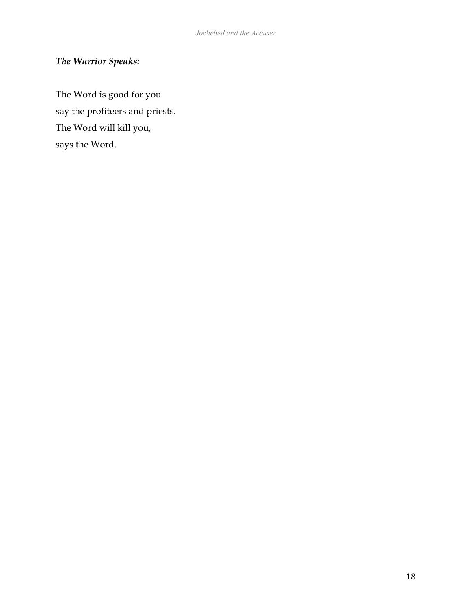# *The Warrior Speaks:*

The Word is good for you say the profiteers and priests. The Word will kill you, says the Word.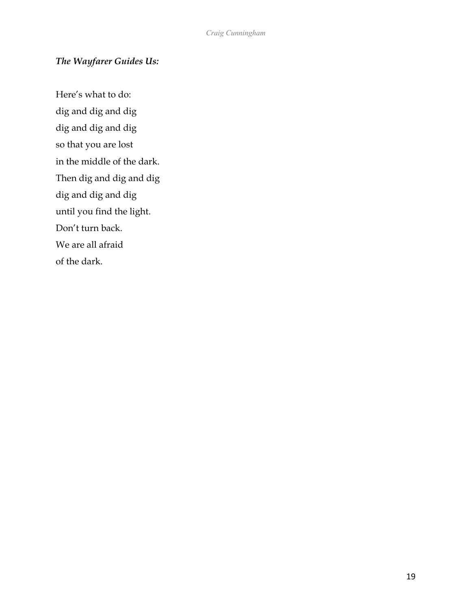# *The Wayfarer Guides Us:*

Here's what to do: dig and dig and dig dig and dig and dig so that you are lost in the middle of the dark. Then dig and dig and dig dig and dig and dig until you find the light. Don't turn back. We are all afraid of the dark.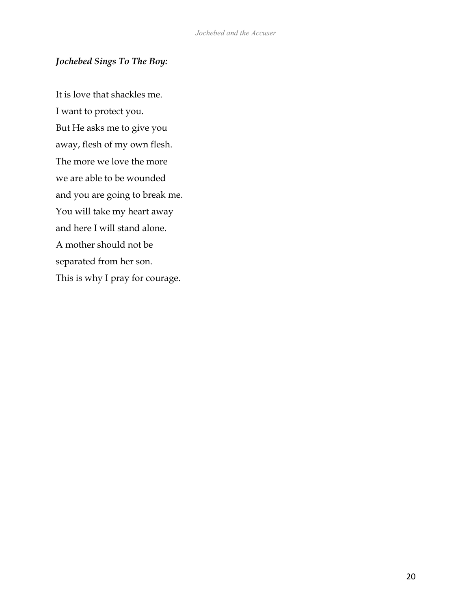# *Jochebed Sings To The Boy:*

It is love that shackles me. I want to protect you. But He asks me to give you away, flesh of my own flesh. The more we love the more we are able to be wounded and you are going to break me. You will take my heart away and here I will stand alone. A mother should not be separated from her son. This is why I pray for courage.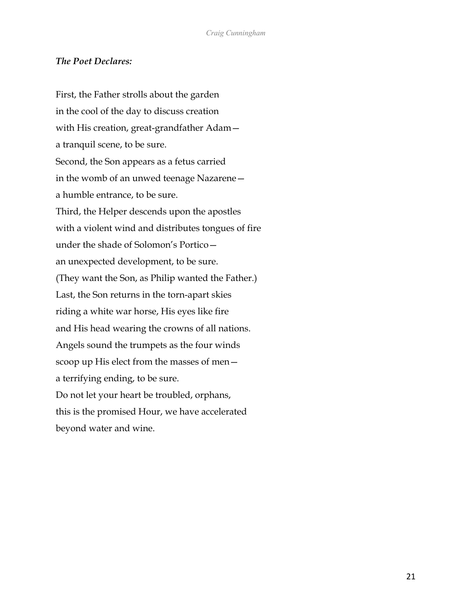#### *The Poet Declares:*

First, the Father strolls about the garden in the cool of the day to discuss creation with His creation, great-grandfather Adam a tranquil scene, to be sure. Second, the Son appears as a fetus carried in the womb of an unwed teenage Nazarene a humble entrance, to be sure. Third, the Helper descends upon the apostles with a violent wind and distributes tongues of fire under the shade of Solomon's Portico an unexpected development, to be sure. (They want the Son, as Philip wanted the Father.) Last, the Son returns in the torn-apart skies riding a white war horse, His eyes like fire and His head wearing the crowns of all nations. Angels sound the trumpets as the four winds scoop up His elect from the masses of men a terrifying ending, to be sure. Do not let your heart be troubled, orphans, this is the promised Hour, we have accelerated beyond water and wine.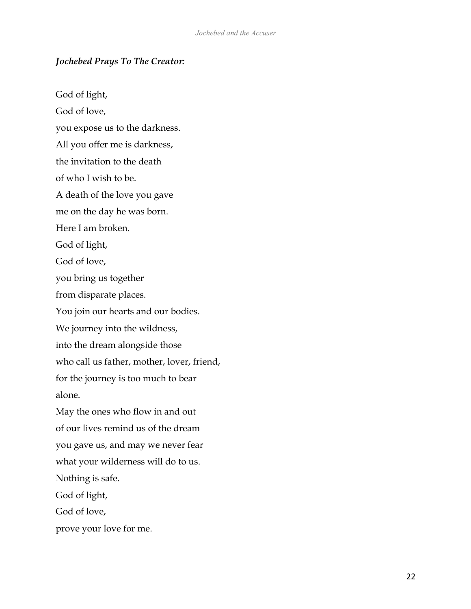## *Jochebed Prays To The Creator:*

God of light, God of love, you expose us to the darkness. All you offer me is darkness, the invitation to the death of who I wish to be. A death of the love you gave me on the day he was born. Here I am broken. God of light, God of love, you bring us together from disparate places. You join our hearts and our bodies. We journey into the wildness, into the dream alongside those who call us father, mother, lover, friend, for the journey is too much to bear alone. May the ones who flow in and out of our lives remind us of the dream you gave us, and may we never fear what your wilderness will do to us. Nothing is safe. God of light, God of love, prove your love for me.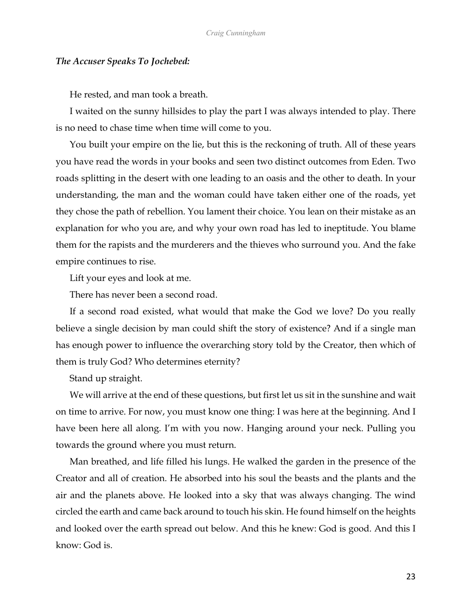#### *The Accuser Speaks To Jochebed:*

He rested, and man took a breath.

I waited on the sunny hillsides to play the part I was always intended to play. There is no need to chase time when time will come to you.

You built your empire on the lie, but this is the reckoning of truth. All of these years you have read the words in your books and seen two distinct outcomes from Eden. Two roads splitting in the desert with one leading to an oasis and the other to death. In your understanding, the man and the woman could have taken either one of the roads, yet they chose the path of rebellion. You lament their choice. You lean on their mistake as an explanation for who you are, and why your own road has led to ineptitude. You blame them for the rapists and the murderers and the thieves who surround you. And the fake empire continues to rise.

Lift your eyes and look at me.

There has never been a second road.

If a second road existed, what would that make the God we love? Do you really believe a single decision by man could shift the story of existence? And if a single man has enough power to influence the overarching story told by the Creator, then which of them is truly God? Who determines eternity?

Stand up straight.

We will arrive at the end of these questions, but first let us sit in the sunshine and wait on time to arrive. For now, you must know one thing: I was here at the beginning. And I have been here all along. I'm with you now. Hanging around your neck. Pulling you towards the ground where you must return.

Man breathed, and life filled his lungs. He walked the garden in the presence of the Creator and all of creation. He absorbed into his soul the beasts and the plants and the air and the planets above. He looked into a sky that was always changing. The wind circled the earth and came back around to touch his skin. He found himself on the heights and looked over the earth spread out below. And this he knew: God is good. And this I know: God is.

23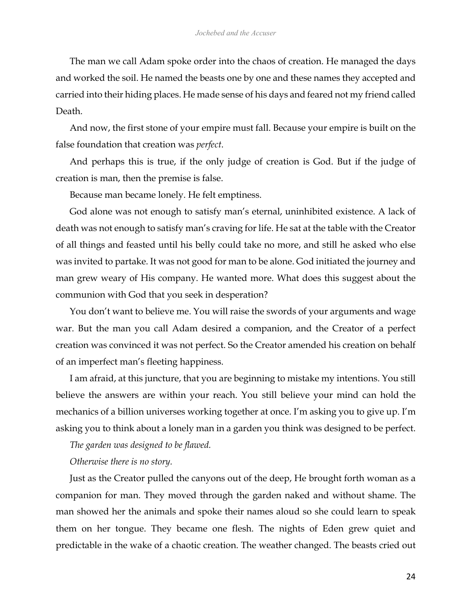The man we call Adam spoke order into the chaos of creation. He managed the days and worked the soil. He named the beasts one by one and these names they accepted and carried into their hiding places. He made sense of his days and feared not my friend called Death.

And now, the first stone of your empire must fall. Because your empire is built on the false foundation that creation was *perfect*.

And perhaps this is true, if the only judge of creation is God. But if the judge of creation is man, then the premise is false.

Because man became lonely. He felt emptiness.

God alone was not enough to satisfy man's eternal, uninhibited existence. A lack of death was not enough to satisfy man's craving for life. He sat at the table with the Creator of all things and feasted until his belly could take no more, and still he asked who else was invited to partake. It was not good for man to be alone. God initiated the journey and man grew weary of His company. He wanted more. What does this suggest about the communion with God that you seek in desperation?

You don't want to believe me. You will raise the swords of your arguments and wage war. But the man you call Adam desired a companion, and the Creator of a perfect creation was convinced it was not perfect. So the Creator amended his creation on behalf of an imperfect man's fleeting happiness.

I am afraid, at this juncture, that you are beginning to mistake my intentions. You still believe the answers are within your reach. You still believe your mind can hold the mechanics of a billion universes working together at once. I'm asking you to give up. I'm asking you to think about a lonely man in a garden you think was designed to be perfect.

*The garden was designed to be flawed.* 

*Otherwise there is no story.* 

Just as the Creator pulled the canyons out of the deep, He brought forth woman as a companion for man. They moved through the garden naked and without shame. The man showed her the animals and spoke their names aloud so she could learn to speak them on her tongue. They became one flesh. The nights of Eden grew quiet and predictable in the wake of a chaotic creation. The weather changed. The beasts cried out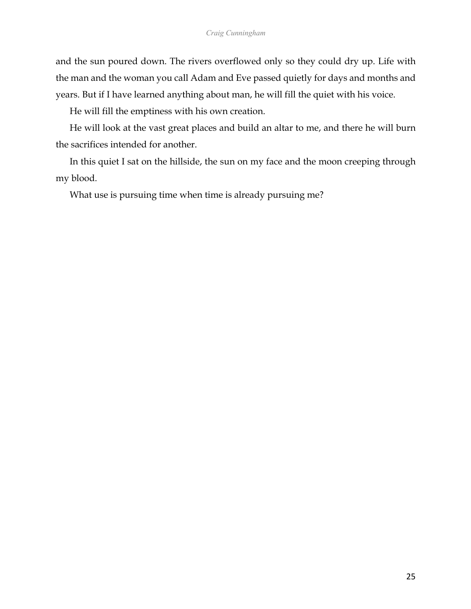and the sun poured down. The rivers overflowed only so they could dry up. Life with the man and the woman you call Adam and Eve passed quietly for days and months and years. But if I have learned anything about man, he will fill the quiet with his voice.

He will fill the emptiness with his own creation.

He will look at the vast great places and build an altar to me, and there he will burn the sacrifices intended for another.

In this quiet I sat on the hillside, the sun on my face and the moon creeping through my blood.

What use is pursuing time when time is already pursuing me?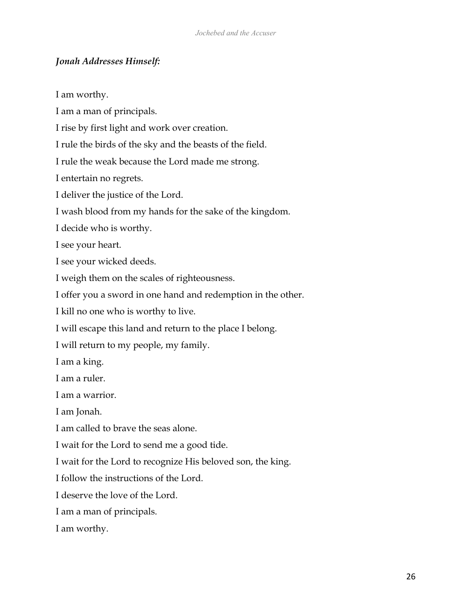# *Jonah Addresses Himself:*

I am worthy.

I am a man of principals.

I rise by first light and work over creation.

I rule the birds of the sky and the beasts of the field.

I rule the weak because the Lord made me strong.

I entertain no regrets.

I deliver the justice of the Lord.

I wash blood from my hands for the sake of the kingdom.

I decide who is worthy.

I see your heart.

I see your wicked deeds.

I weigh them on the scales of righteousness.

I offer you a sword in one hand and redemption in the other.

I kill no one who is worthy to live.

I will escape this land and return to the place I belong.

I will return to my people, my family.

I am a king.

I am a ruler.

I am a warrior.

I am Jonah.

I am called to brave the seas alone.

I wait for the Lord to send me a good tide.

I wait for the Lord to recognize His beloved son, the king.

I follow the instructions of the Lord.

I deserve the love of the Lord.

I am a man of principals.

I am worthy.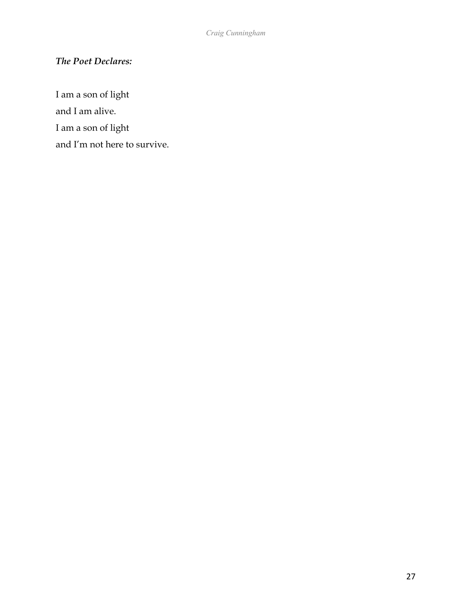# *The Poet Declares:*

I am a son of light

and I am alive.

I am a son of light

and I'm not here to survive.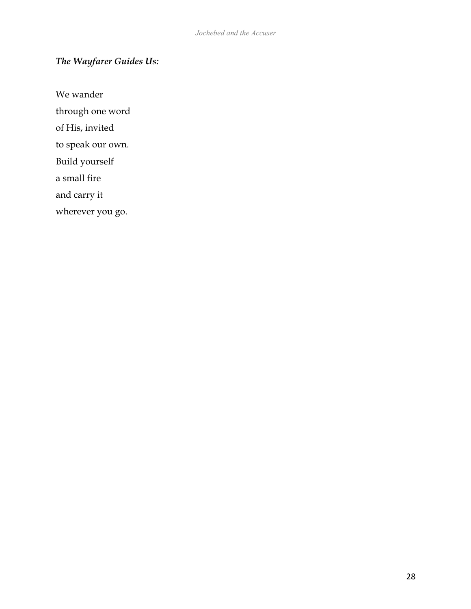# *The Wayfarer Guides Us:*

We wander

through one word

of His, invited

to speak our own.

Build yourself

a small fire

and carry it

wherever you go.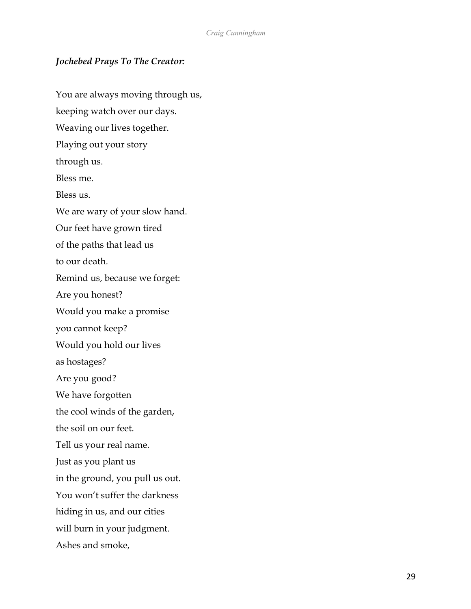# *Jochebed Prays To The Creator:*

You are always moving through us, keeping watch over our days. Weaving our lives together. Playing out your story through us. Bless me. Bless us. We are wary of your slow hand. Our feet have grown tired of the paths that lead us to our death. Remind us, because we forget: Are you honest? Would you make a promise you cannot keep? Would you hold our lives as hostages? Are you good? We have forgotten the cool winds of the garden, the soil on our feet. Tell us your real name. Just as you plant us in the ground, you pull us out. You won't suffer the darkness hiding in us, and our cities will burn in your judgment. Ashes and smoke,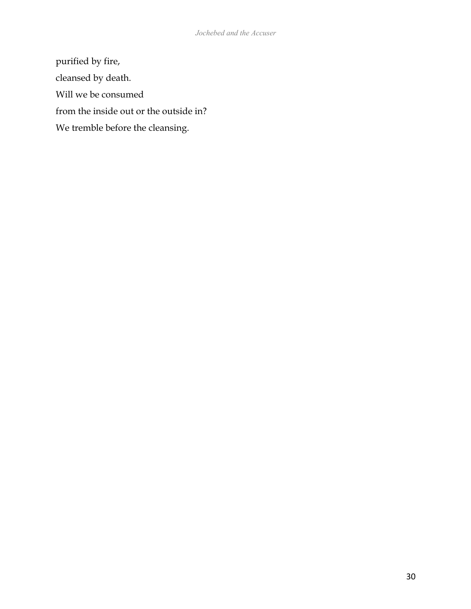purified by fire, cleansed by death. Will we be consumed from the inside out or the outside in? We tremble before the cleansing.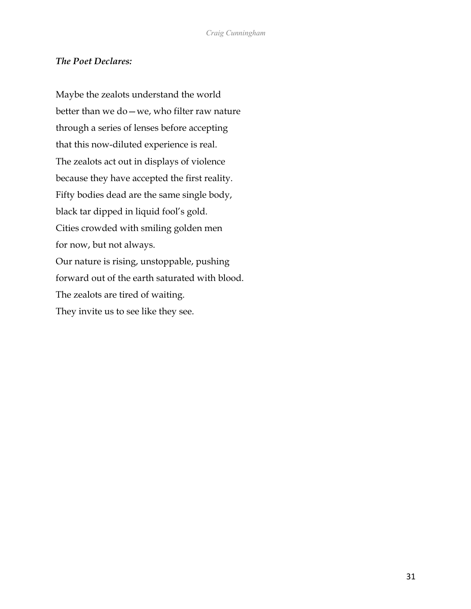# *The Poet Declares:*

Maybe the zealots understand the world better than we do—we, who filter raw nature through a series of lenses before accepting that this now-diluted experience is real. The zealots act out in displays of violence because they have accepted the first reality. Fifty bodies dead are the same single body, black tar dipped in liquid fool's gold. Cities crowded with smiling golden men for now, but not always. Our nature is rising, unstoppable, pushing forward out of the earth saturated with blood. The zealots are tired of waiting. They invite us to see like they see.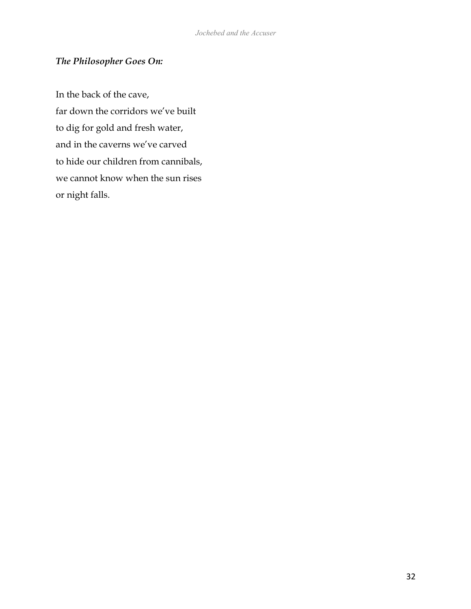# *The Philosopher Goes On:*

In the back of the cave, far down the corridors we've built to dig for gold and fresh water, and in the caverns we've carved to hide our children from cannibals, we cannot know when the sun rises or night falls.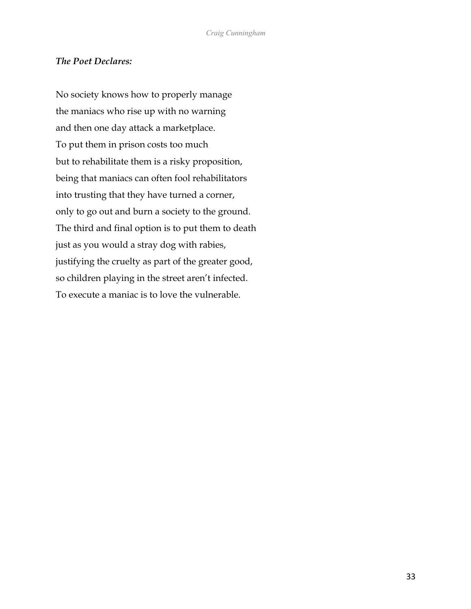#### *The Poet Declares:*

No society knows how to properly manage the maniacs who rise up with no warning and then one day attack a marketplace. To put them in prison costs too much but to rehabilitate them is a risky proposition, being that maniacs can often fool rehabilitators into trusting that they have turned a corner, only to go out and burn a society to the ground. The third and final option is to put them to death just as you would a stray dog with rabies, justifying the cruelty as part of the greater good, so children playing in the street aren't infected. To execute a maniac is to love the vulnerable.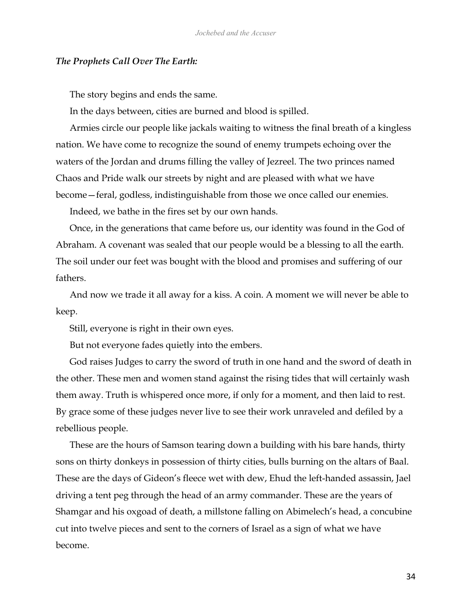#### *The Prophets Call Over The Earth:*

The story begins and ends the same.

In the days between, cities are burned and blood is spilled.

Armies circle our people like jackals waiting to witness the final breath of a kingless nation. We have come to recognize the sound of enemy trumpets echoing over the waters of the Jordan and drums filling the valley of Jezreel. The two princes named Chaos and Pride walk our streets by night and are pleased with what we have become—feral, godless, indistinguishable from those we once called our enemies.

Indeed, we bathe in the fires set by our own hands.

Once, in the generations that came before us, our identity was found in the God of Abraham. A covenant was sealed that our people would be a blessing to all the earth. The soil under our feet was bought with the blood and promises and suffering of our fathers.

And now we trade it all away for a kiss. A coin. A moment we will never be able to keep.

Still, everyone is right in their own eyes.

But not everyone fades quietly into the embers.

God raises Judges to carry the sword of truth in one hand and the sword of death in the other. These men and women stand against the rising tides that will certainly wash them away. Truth is whispered once more, if only for a moment, and then laid to rest. By grace some of these judges never live to see their work unraveled and defiled by a rebellious people.

These are the hours of Samson tearing down a building with his bare hands, thirty sons on thirty donkeys in possession of thirty cities, bulls burning on the altars of Baal. These are the days of Gideon's fleece wet with dew, Ehud the left-handed assassin, Jael driving a tent peg through the head of an army commander. These are the years of Shamgar and his oxgoad of death, a millstone falling on Abimelech's head, a concubine cut into twelve pieces and sent to the corners of Israel as a sign of what we have become.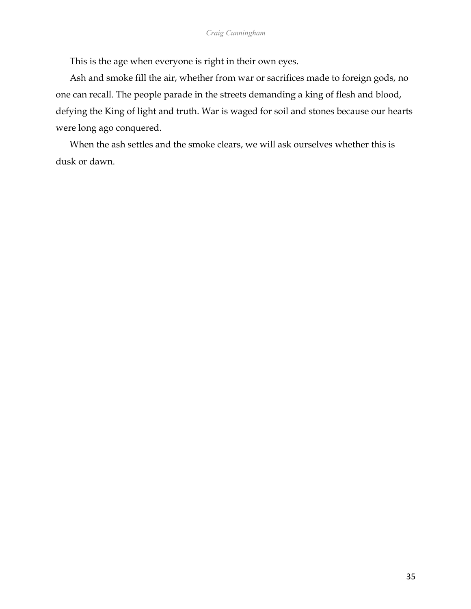This is the age when everyone is right in their own eyes.

Ash and smoke fill the air, whether from war or sacrifices made to foreign gods, no one can recall. The people parade in the streets demanding a king of flesh and blood, defying the King of light and truth. War is waged for soil and stones because our hearts were long ago conquered.

When the ash settles and the smoke clears, we will ask ourselves whether this is dusk or dawn.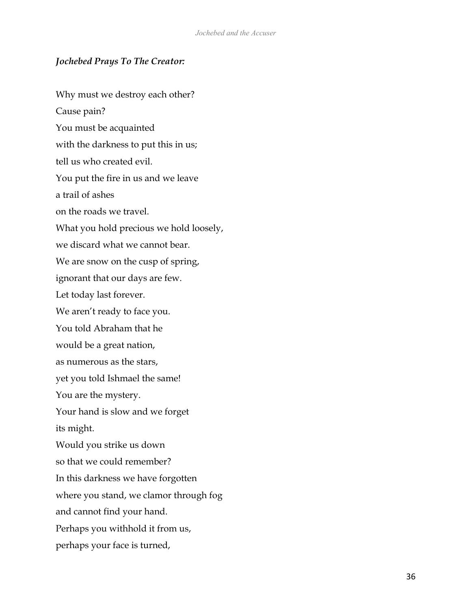## *Jochebed Prays To The Creator:*

Why must we destroy each other? Cause pain? You must be acquainted with the darkness to put this in us; tell us who created evil. You put the fire in us and we leave a trail of ashes on the roads we travel. What you hold precious we hold loosely, we discard what we cannot bear. We are snow on the cusp of spring, ignorant that our days are few. Let today last forever. We aren't ready to face you. You told Abraham that he would be a great nation, as numerous as the stars, yet you told Ishmael the same! You are the mystery. Your hand is slow and we forget its might. Would you strike us down so that we could remember? In this darkness we have forgotten where you stand, we clamor through fog and cannot find your hand. Perhaps you withhold it from us, perhaps your face is turned,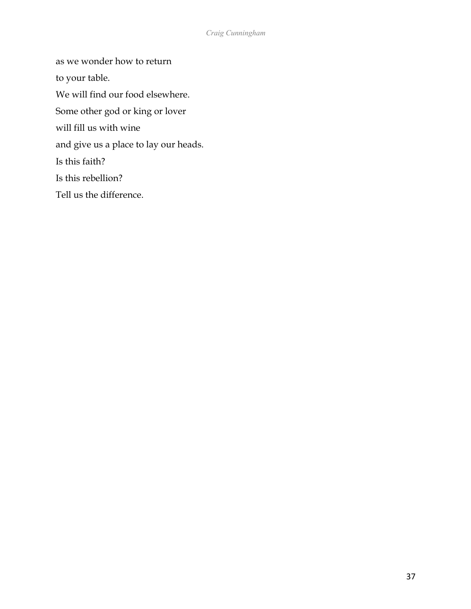as we wonder how to return

to your table.

We will find our food elsewhere.

Some other god or king or lover

will fill us with wine

and give us a place to lay our heads.

Is this faith?

Is this rebellion?

Tell us the difference.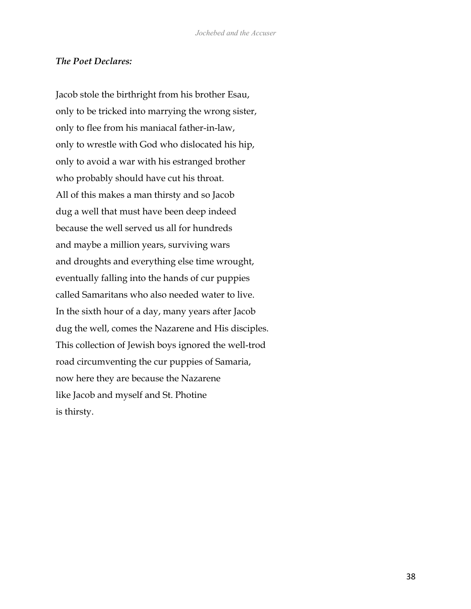#### *The Poet Declares:*

Jacob stole the birthright from his brother Esau, only to be tricked into marrying the wrong sister, only to flee from his maniacal father-in-law, only to wrestle with God who dislocated his hip, only to avoid a war with his estranged brother who probably should have cut his throat. All of this makes a man thirsty and so Jacob dug a well that must have been deep indeed because the well served us all for hundreds and maybe a million years, surviving wars and droughts and everything else time wrought, eventually falling into the hands of cur puppies called Samaritans who also needed water to live. In the sixth hour of a day, many years after Jacob dug the well, comes the Nazarene and His disciples. This collection of Jewish boys ignored the well-trod road circumventing the cur puppies of Samaria, now here they are because the Nazarene like Jacob and myself and St. Photine is thirsty.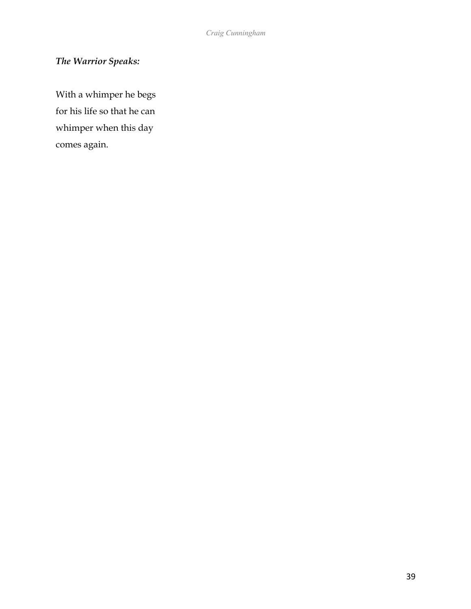# *The Warrior Speaks:*

With a whimper he begs for his life so that he can whimper when this day comes again.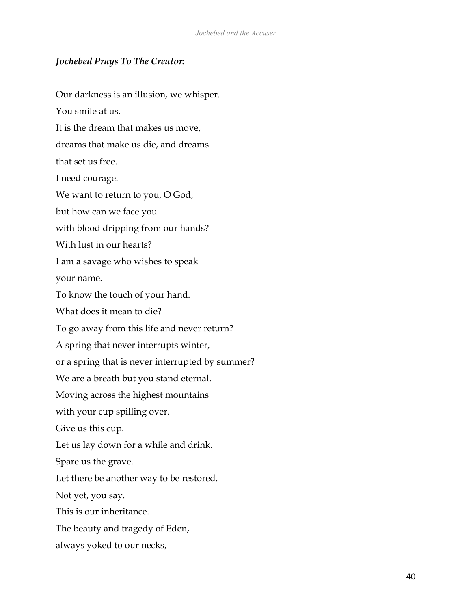### *Jochebed Prays To The Creator:*

Our darkness is an illusion, we whisper. You smile at us. It is the dream that makes us move, dreams that make us die, and dreams that set us free. I need courage. We want to return to you, O God, but how can we face you with blood dripping from our hands? With lust in our hearts? I am a savage who wishes to speak your name. To know the touch of your hand. What does it mean to die? To go away from this life and never return? A spring that never interrupts winter, or a spring that is never interrupted by summer? We are a breath but you stand eternal. Moving across the highest mountains with your cup spilling over. Give us this cup. Let us lay down for a while and drink. Spare us the grave. Let there be another way to be restored. Not yet, you say. This is our inheritance. The beauty and tragedy of Eden, always yoked to our necks,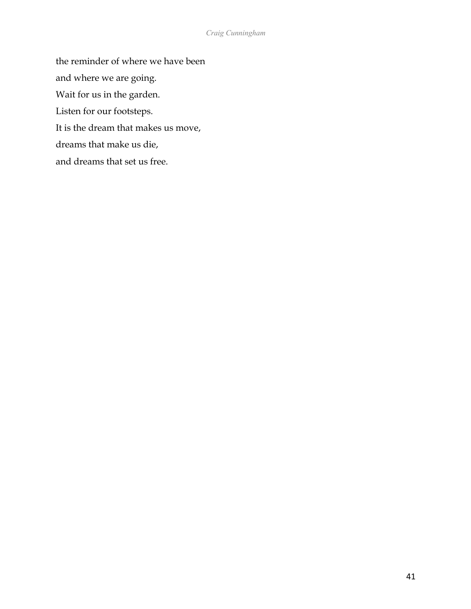the reminder of where we have been and where we are going. Wait for us in the garden. Listen for our footsteps. It is the dream that makes us move, dreams that make us die, and dreams that set us free.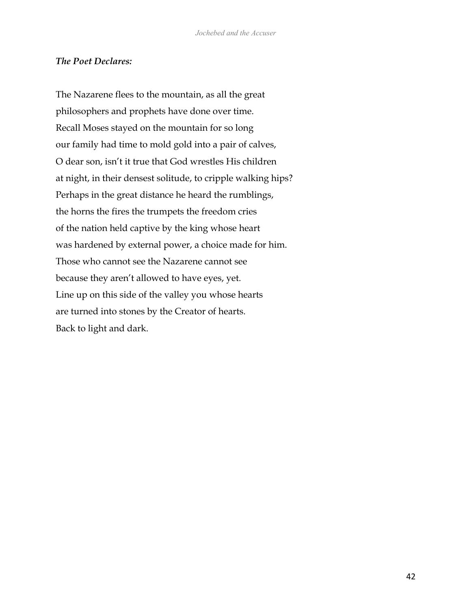### *The Poet Declares:*

The Nazarene flees to the mountain, as all the great philosophers and prophets have done over time. Recall Moses stayed on the mountain for so long our family had time to mold gold into a pair of calves, O dear son, isn't it true that God wrestles His children at night, in their densest solitude, to cripple walking hips? Perhaps in the great distance he heard the rumblings, the horns the fires the trumpets the freedom cries of the nation held captive by the king whose heart was hardened by external power, a choice made for him. Those who cannot see the Nazarene cannot see because they aren't allowed to have eyes, yet. Line up on this side of the valley you whose hearts are turned into stones by the Creator of hearts. Back to light and dark.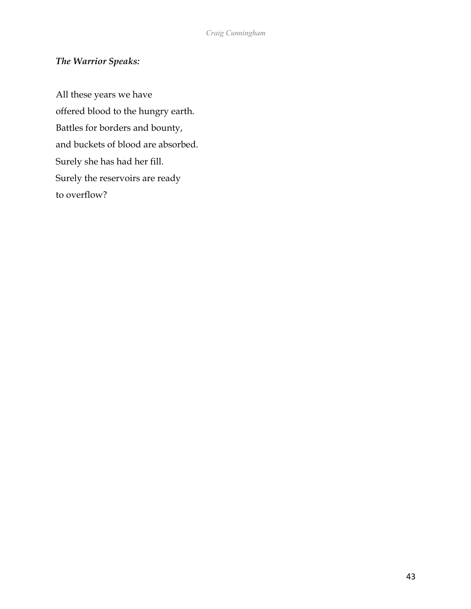### *The Warrior Speaks:*

All these years we have offered blood to the hungry earth. Battles for borders and bounty, and buckets of blood are absorbed. Surely she has had her fill. Surely the reservoirs are ready to overflow?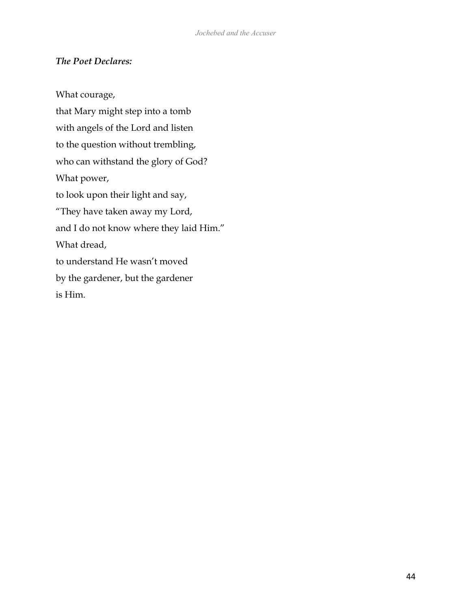### *The Poet Declares:*

What courage, that Mary might step into a tomb with angels of the Lord and listen to the question without trembling, who can withstand the glory of God? What power, to look upon their light and say, "They have taken away my Lord, and I do not know where they laid Him." What dread, to understand He wasn't moved by the gardener, but the gardener is Him.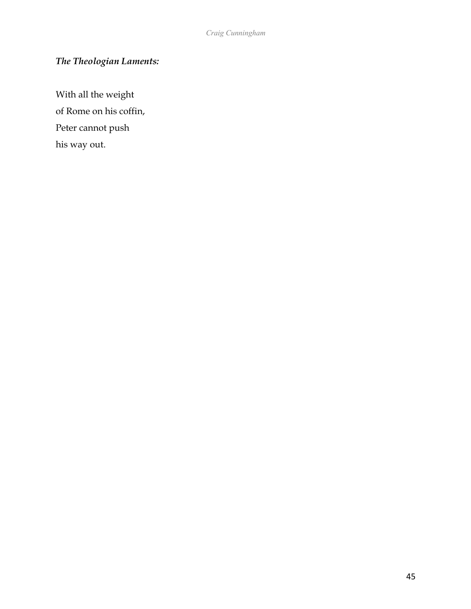# *The Theologian Laments:*

With all the weight of Rome on his coffin, Peter cannot push his way out.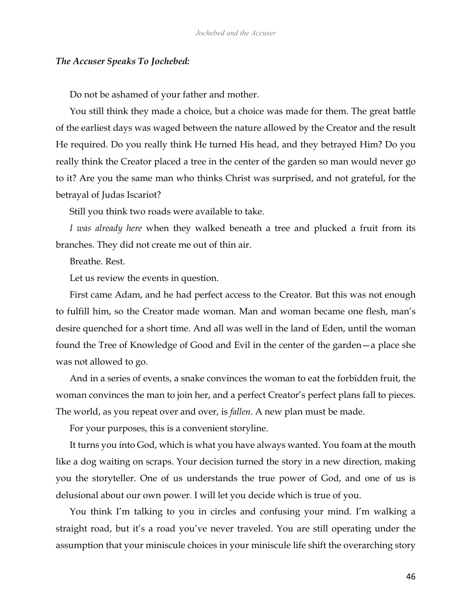#### *The Accuser Speaks To Jochebed:*

Do not be ashamed of your father and mother.

You still think they made a choice, but a choice was made for them. The great battle of the earliest days was waged between the nature allowed by the Creator and the result He required. Do you really think He turned His head, and they betrayed Him? Do you really think the Creator placed a tree in the center of the garden so man would never go to it? Are you the same man who thinks Christ was surprised, and not grateful, for the betrayal of Judas Iscariot?

Still you think two roads were available to take.

*I was already here* when they walked beneath a tree and plucked a fruit from its branches. They did not create me out of thin air.

Breathe. Rest.

Let us review the events in question.

First came Adam, and he had perfect access to the Creator. But this was not enough to fulfill him, so the Creator made woman. Man and woman became one flesh, man's desire quenched for a short time. And all was well in the land of Eden, until the woman found the Tree of Knowledge of Good and Evil in the center of the garden—a place she was not allowed to go.

And in a series of events, a snake convinces the woman to eat the forbidden fruit, the woman convinces the man to join her, and a perfect Creator's perfect plans fall to pieces. The world, as you repeat over and over, is *fallen*. A new plan must be made.

For your purposes, this is a convenient storyline.

It turns you into God, which is what you have always wanted. You foam at the mouth like a dog waiting on scraps. Your decision turned the story in a new direction, making you the storyteller. One of us understands the true power of God, and one of us is delusional about our own power. I will let you decide which is true of you.

You think I'm talking to you in circles and confusing your mind. I'm walking a straight road, but it's a road you've never traveled. You are still operating under the assumption that your miniscule choices in your miniscule life shift the overarching story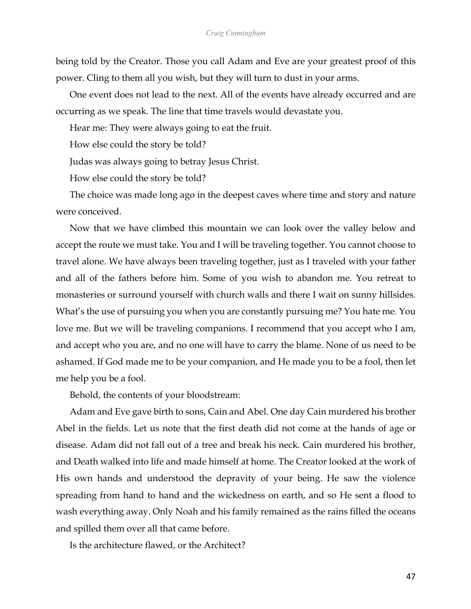being told by the Creator. Those you call Adam and Eve are your greatest proof of this power. Cling to them all you wish, but they will turn to dust in your arms.

One event does not lead to the next. All of the events have already occurred and are occurring as we speak. The line that time travels would devastate you.

Hear me: They were always going to eat the fruit.

How else could the story be told?

Judas was always going to betray Jesus Christ.

How else could the story be told?

The choice was made long ago in the deepest caves where time and story and nature were conceived.

Now that we have climbed this mountain we can look over the valley below and accept the route we must take. You and I will be traveling together. You cannot choose to travel alone. We have always been traveling together, just as I traveled with your father and all of the fathers before him. Some of you wish to abandon me. You retreat to monasteries or surround yourself with church walls and there I wait on sunny hillsides. What's the use of pursuing you when you are constantly pursuing me? You hate me. You love me. But we will be traveling companions. I recommend that you accept who I am, and accept who you are, and no one will have to carry the blame. None of us need to be ashamed. If God made me to be your companion, and He made you to be a fool, then let me help you be a fool.

Behold, the contents of your bloodstream:

Adam and Eve gave birth to sons, Cain and Abel. One day Cain murdered his brother Abel in the fields. Let us note that the first death did not come at the hands of age or disease. Adam did not fall out of a tree and break his neck. Cain murdered his brother, and Death walked into life and made himself at home. The Creator looked at the work of His own hands and understood the depravity of your being. He saw the violence spreading from hand to hand and the wickedness on earth, and so He sent a flood to wash everything away. Only Noah and his family remained as the rains filled the oceans and spilled them over all that came before.

Is the architecture flawed, or the Architect?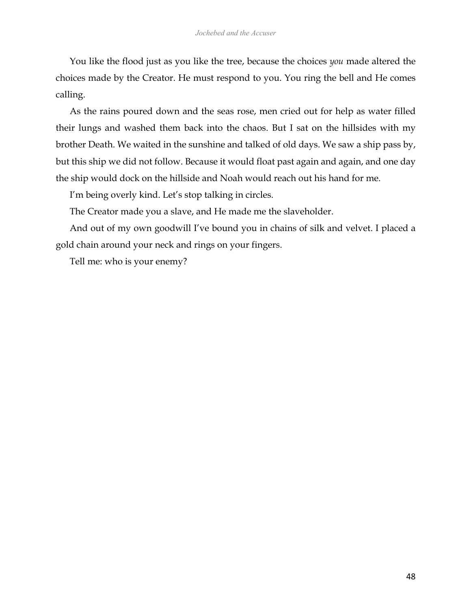You like the flood just as you like the tree, because the choices *you* made altered the choices made by the Creator. He must respond to you. You ring the bell and He comes calling.

As the rains poured down and the seas rose, men cried out for help as water filled their lungs and washed them back into the chaos. But I sat on the hillsides with my brother Death. We waited in the sunshine and talked of old days. We saw a ship pass by, but this ship we did not follow. Because it would float past again and again, and one day the ship would dock on the hillside and Noah would reach out his hand for me.

I'm being overly kind. Let's stop talking in circles.

The Creator made you a slave, and He made me the slaveholder.

And out of my own goodwill I've bound you in chains of silk and velvet. I placed a gold chain around your neck and rings on your fingers.

Tell me: who is your enemy?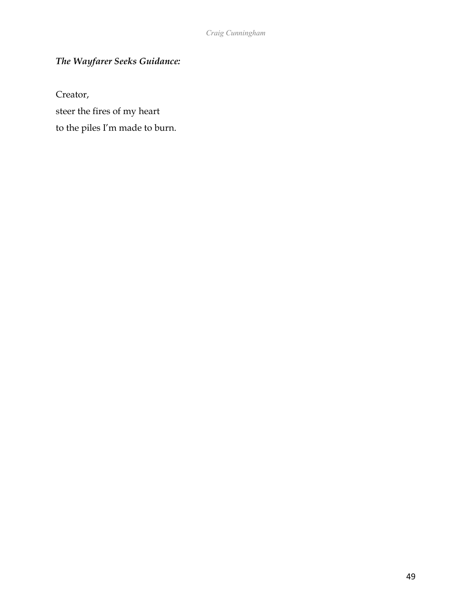# *The Wayfarer Seeks Guidance:*

Creator,

steer the fires of my heart

to the piles I'm made to burn.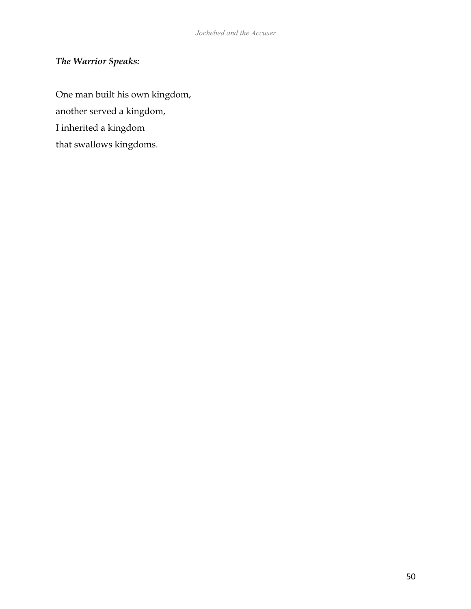# *The Warrior Speaks:*

One man built his own kingdom, another served a kingdom, I inherited a kingdom that swallows kingdoms.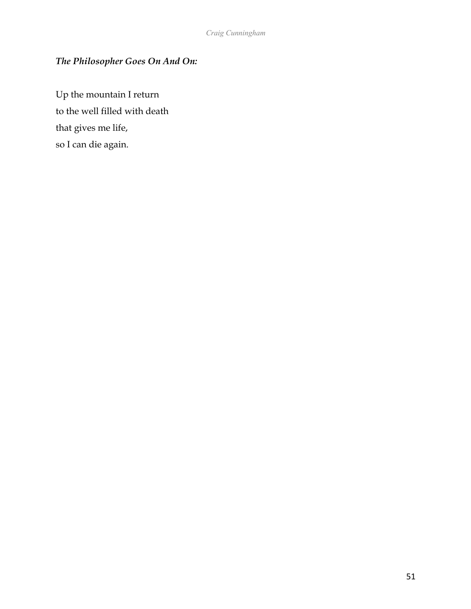## *The Philosopher Goes On And On:*

Up the mountain I return to the well filled with death that gives me life, so I can die again.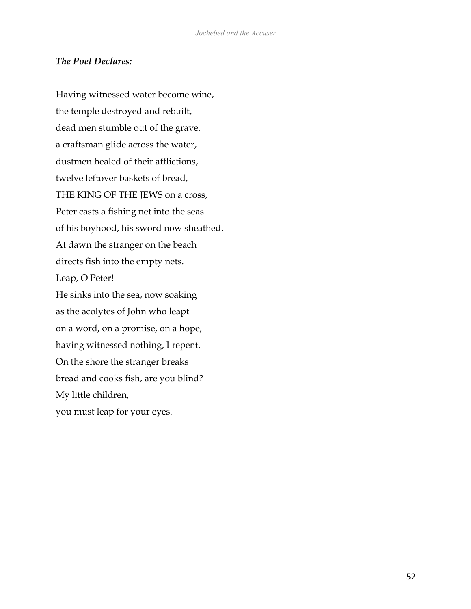### *The Poet Declares:*

Having witnessed water become wine, the temple destroyed and rebuilt, dead men stumble out of the grave, a craftsman glide across the water, dustmen healed of their afflictions, twelve leftover baskets of bread, THE KING OF THE JEWS on a cross, Peter casts a fishing net into the seas of his boyhood, his sword now sheathed. At dawn the stranger on the beach directs fish into the empty nets. Leap, O Peter! He sinks into the sea, now soaking as the acolytes of John who leapt on a word, on a promise, on a hope, having witnessed nothing, I repent. On the shore the stranger breaks bread and cooks fish, are you blind? My little children, you must leap for your eyes.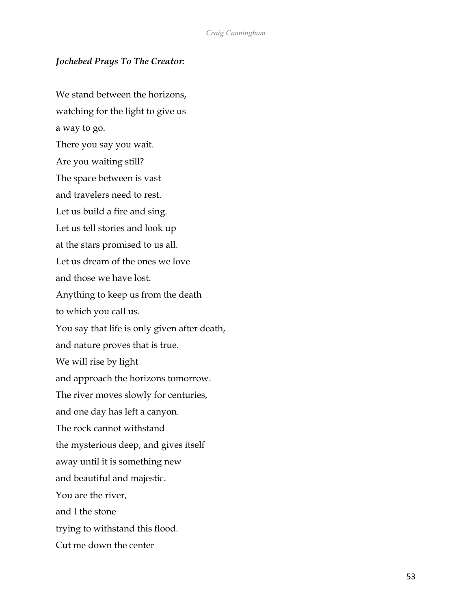### *Jochebed Prays To The Creator:*

We stand between the horizons. watching for the light to give us a way to go. There you say you wait. Are you waiting still? The space between is vast and travelers need to rest. Let us build a fire and sing. Let us tell stories and look up at the stars promised to us all. Let us dream of the ones we love and those we have lost. Anything to keep us from the death to which you call us. You say that life is only given after death, and nature proves that is true. We will rise by light and approach the horizons tomorrow. The river moves slowly for centuries, and one day has left a canyon. The rock cannot withstand the mysterious deep, and gives itself away until it is something new and beautiful and majestic. You are the river, and I the stone trying to withstand this flood. Cut me down the center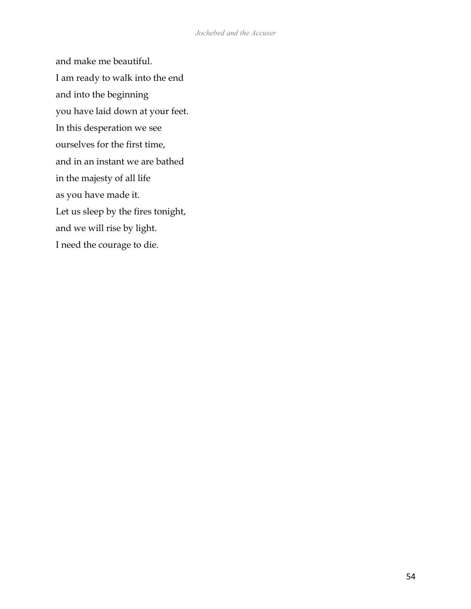and make me beautiful. I am ready to walk into the end and into the beginning you have laid down at your feet. In this desperation we see ourselves for the first time, and in an instant we are bathed in the majesty of all life as you have made it. Let us sleep by the fires tonight, and we will rise by light. I need the courage to die.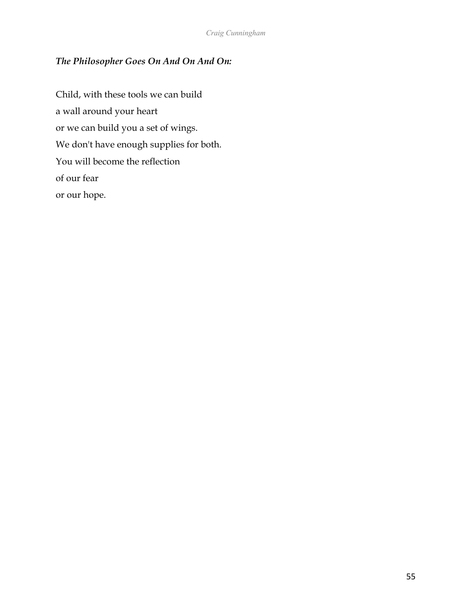## *The Philosopher Goes On And On And On:*

Child, with these tools we can build a wall around your heart or we can build you a set of wings. We don't have enough supplies for both. You will become the reflection of our fear or our hope.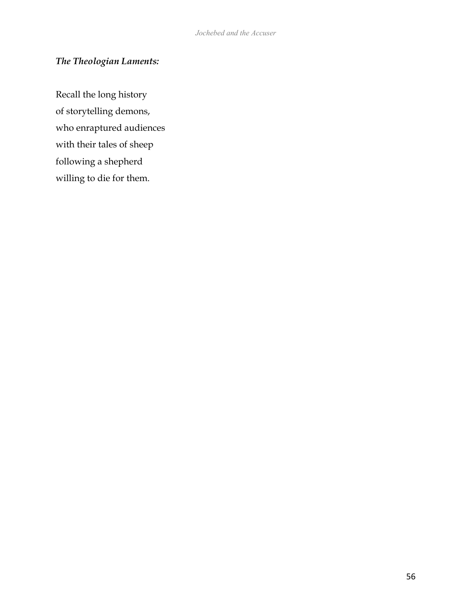## *The Theologian Laments:*

Recall the long history of storytelling demons, who enraptured audiences with their tales of sheep following a shepherd willing to die for them.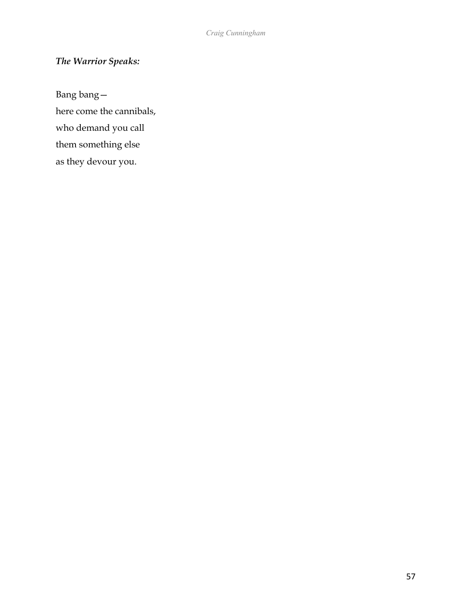# *The Warrior Speaks:*

Bang bang here come the cannibals, who demand you call them something else as they devour you.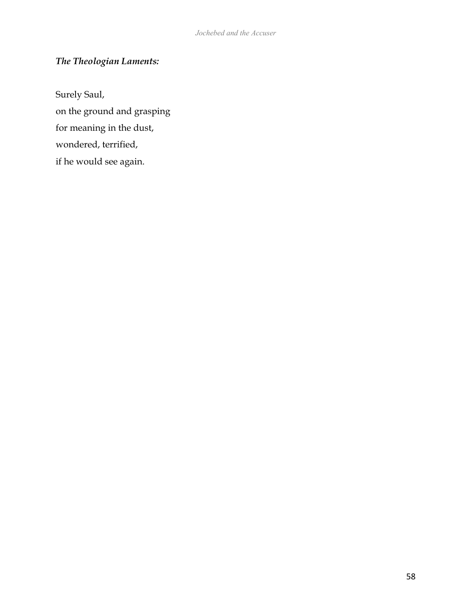# *The Theologian Laments:*

Surely Saul, on the ground and grasping for meaning in the dust, wondered, terrified, if he would see again.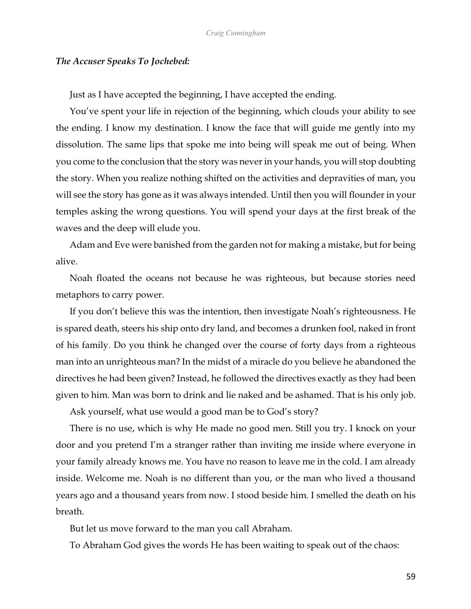#### *The Accuser Speaks To Jochebed:*

Just as I have accepted the beginning, I have accepted the ending.

You've spent your life in rejection of the beginning, which clouds your ability to see the ending. I know my destination. I know the face that will guide me gently into my dissolution. The same lips that spoke me into being will speak me out of being. When you come to the conclusion that the story was never in your hands, you will stop doubting the story. When you realize nothing shifted on the activities and depravities of man, you will see the story has gone as it was always intended. Until then you will flounder in your temples asking the wrong questions. You will spend your days at the first break of the waves and the deep will elude you.

Adam and Eve were banished from the garden not for making a mistake, but for being alive.

Noah floated the oceans not because he was righteous, but because stories need metaphors to carry power.

If you don't believe this was the intention, then investigate Noah's righteousness. He is spared death, steers his ship onto dry land, and becomes a drunken fool, naked in front of his family. Do you think he changed over the course of forty days from a righteous man into an unrighteous man? In the midst of a miracle do you believe he abandoned the directives he had been given? Instead, he followed the directives exactly as they had been given to him. Man was born to drink and lie naked and be ashamed. That is his only job.

Ask yourself, what use would a good man be to God's story?

There is no use, which is why He made no good men. Still you try. I knock on your door and you pretend I'm a stranger rather than inviting me inside where everyone in your family already knows me. You have no reason to leave me in the cold. I am already inside. Welcome me. Noah is no different than you, or the man who lived a thousand years ago and a thousand years from now. I stood beside him. I smelled the death on his breath.

But let us move forward to the man you call Abraham.

To Abraham God gives the words He has been waiting to speak out of the chaos: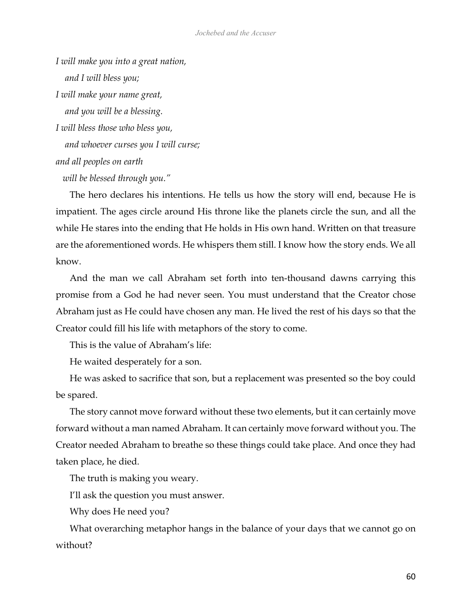*I will make you into a great nation, and I will bless you; I will make your name great, and you will be a blessing. I will bless those who bless you, and whoever curses you I will curse; and all peoples on earth will be blessed through you."*

The hero declares his intentions. He tells us how the story will end, because He is impatient. The ages circle around His throne like the planets circle the sun, and all the while He stares into the ending that He holds in His own hand. Written on that treasure are the aforementioned words. He whispers them still. I know how the story ends. We all know.

And the man we call Abraham set forth into ten-thousand dawns carrying this promise from a God he had never seen. You must understand that the Creator chose Abraham just as He could have chosen any man. He lived the rest of his days so that the Creator could fill his life with metaphors of the story to come.

This is the value of Abraham's life:

He waited desperately for a son.

He was asked to sacrifice that son, but a replacement was presented so the boy could be spared.

The story cannot move forward without these two elements, but it can certainly move forward without a man named Abraham. It can certainly move forward without you. The Creator needed Abraham to breathe so these things could take place. And once they had taken place, he died.

The truth is making you weary.

I'll ask the question you must answer.

Why does He need you?

What overarching metaphor hangs in the balance of your days that we cannot go on without?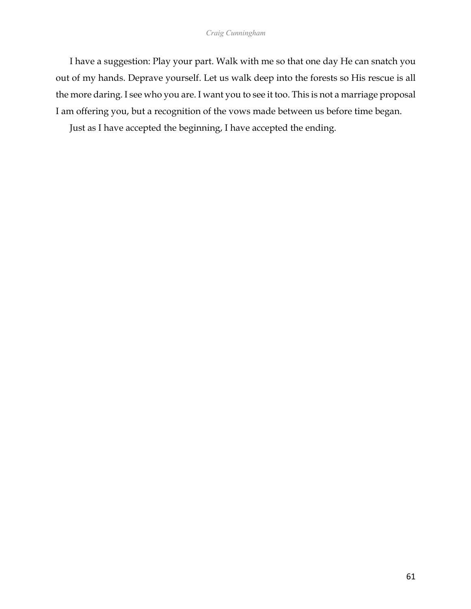I have a suggestion: Play your part. Walk with me so that one day He can snatch you out of my hands. Deprave yourself. Let us walk deep into the forests so His rescue is all the more daring. I see who you are. I want you to see it too. This is not a marriage proposal I am offering you, but a recognition of the vows made between us before time began.

Just as I have accepted the beginning, I have accepted the ending.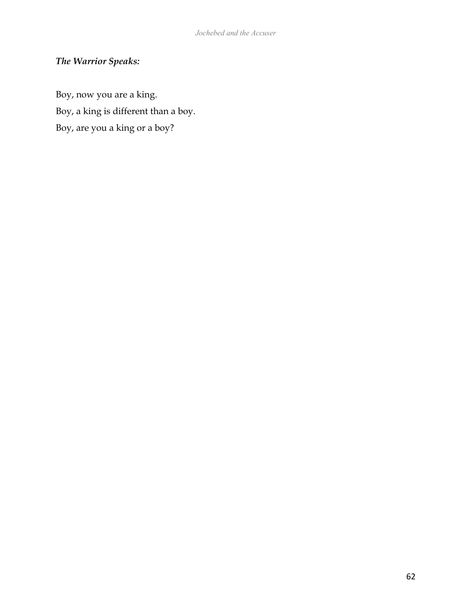# *The Warrior Speaks:*

Boy, now you are a king. Boy, a king is different than a boy. Boy, are you a king or a boy?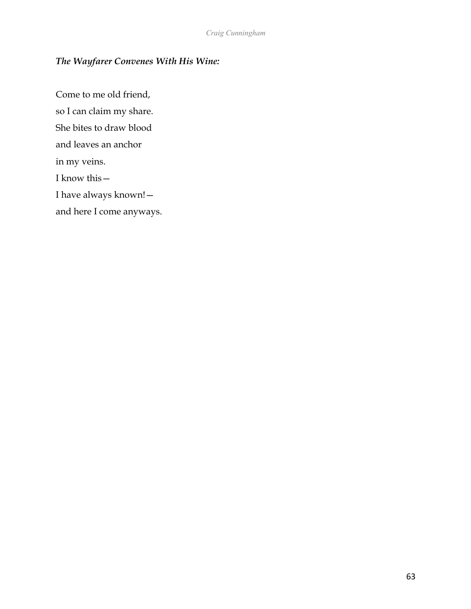## *The Wayfarer Convenes With His Wine:*

Come to me old friend, so I can claim my share. She bites to draw blood and leaves an anchor in my veins. I know this— I have always known! and here I come anyways.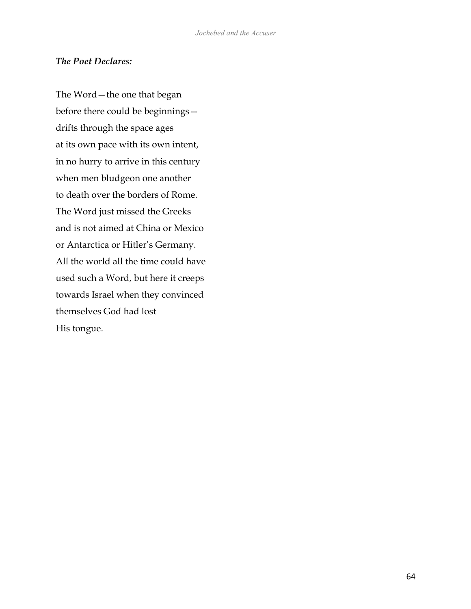### *The Poet Declares:*

The Word—the one that began before there could be beginnings drifts through the space ages at its own pace with its own intent, in no hurry to arrive in this century when men bludgeon one another to death over the borders of Rome. The Word just missed the Greeks and is not aimed at China or Mexico or Antarctica or Hitler's Germany. All the world all the time could have used such a Word, but here it creeps towards Israel when they convinced themselves God had lost His tongue.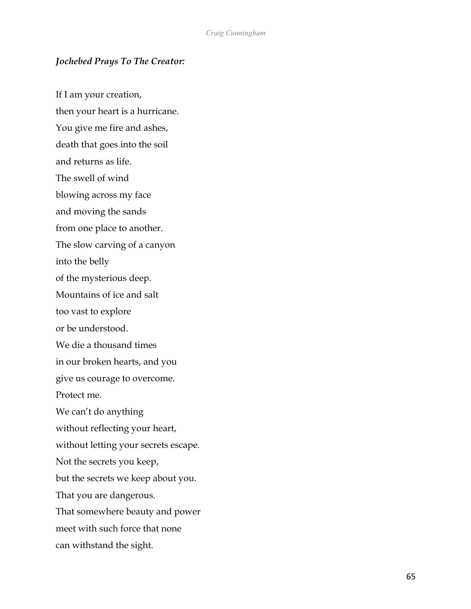### *Jochebed Prays To The Creator:*

If I am your creation, then your heart is a hurricane. You give me fire and ashes, death that goes into the soil and returns as life. The swell of wind blowing across my face and moving the sands from one place to another. The slow carving of a canyon into the belly of the mysterious deep. Mountains of ice and salt too vast to explore or be understood. We die a thousand times in our broken hearts, and you give us courage to overcome. Protect me. We can't do anything without reflecting your heart, without letting your secrets escape. Not the secrets you keep, but the secrets we keep about you. That you are dangerous. That somewhere beauty and power meet with such force that none can withstand the sight.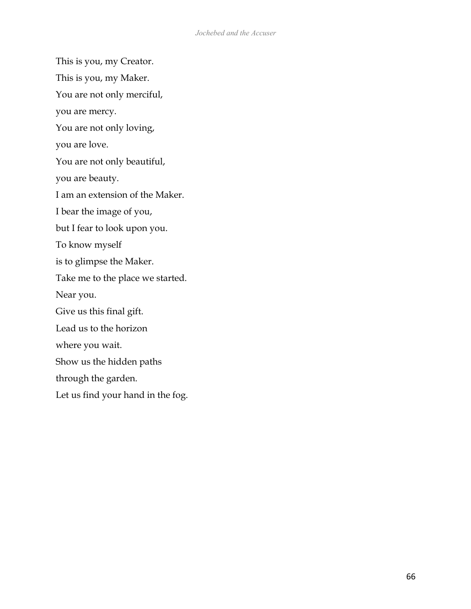This is you, my Creator. This is you, my Maker.

You are not only merciful,

you are mercy.

You are not only loving,

you are love.

You are not only beautiful,

you are beauty.

I am an extension of the Maker.

I bear the image of you,

but I fear to look upon you.

To know myself

is to glimpse the Maker.

Take me to the place we started.

Near you.

Give us this final gift.

Lead us to the horizon

where you wait.

Show us the hidden paths

through the garden.

Let us find your hand in the fog.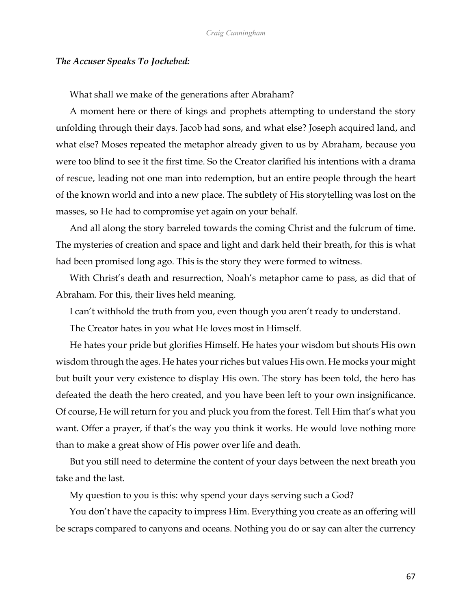#### *The Accuser Speaks To Jochebed:*

What shall we make of the generations after Abraham?

A moment here or there of kings and prophets attempting to understand the story unfolding through their days. Jacob had sons, and what else? Joseph acquired land, and what else? Moses repeated the metaphor already given to us by Abraham, because you were too blind to see it the first time. So the Creator clarified his intentions with a drama of rescue, leading not one man into redemption, but an entire people through the heart of the known world and into a new place. The subtlety of His storytelling was lost on the masses, so He had to compromise yet again on your behalf.

And all along the story barreled towards the coming Christ and the fulcrum of time. The mysteries of creation and space and light and dark held their breath, for this is what had been promised long ago. This is the story they were formed to witness.

With Christ's death and resurrection, Noah's metaphor came to pass, as did that of Abraham. For this, their lives held meaning.

I can't withhold the truth from you, even though you aren't ready to understand.

The Creator hates in you what He loves most in Himself.

He hates your pride but glorifies Himself. He hates your wisdom but shouts His own wisdom through the ages. He hates your riches but values His own. He mocks your might but built your very existence to display His own. The story has been told, the hero has defeated the death the hero created, and you have been left to your own insignificance. Of course, He will return for you and pluck you from the forest. Tell Him that's what you want. Offer a prayer, if that's the way you think it works. He would love nothing more than to make a great show of His power over life and death.

But you still need to determine the content of your days between the next breath you take and the last.

My question to you is this: why spend your days serving such a God?

You don't have the capacity to impress Him. Everything you create as an offering will be scraps compared to canyons and oceans. Nothing you do or say can alter the currency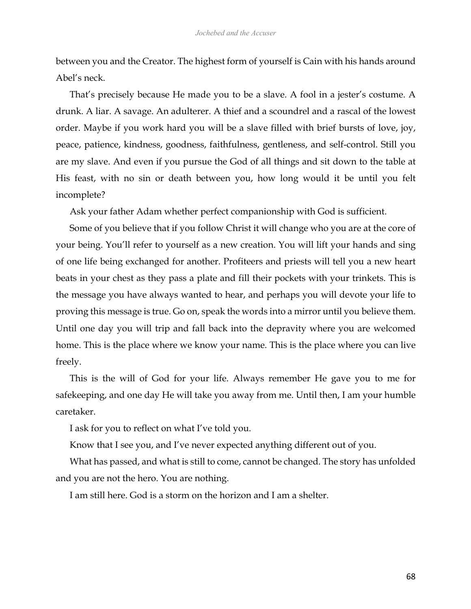between you and the Creator. The highest form of yourself is Cain with his hands around Abel's neck.

That's precisely because He made you to be a slave. A fool in a jester's costume. A drunk. A liar. A savage. An adulterer. A thief and a scoundrel and a rascal of the lowest order. Maybe if you work hard you will be a slave filled with brief bursts of love, joy, peace, patience, kindness, goodness, faithfulness, gentleness, and self-control. Still you are my slave. And even if you pursue the God of all things and sit down to the table at His feast, with no sin or death between you, how long would it be until you felt incomplete?

Ask your father Adam whether perfect companionship with God is sufficient.

Some of you believe that if you follow Christ it will change who you are at the core of your being. You'll refer to yourself as a new creation. You will lift your hands and sing of one life being exchanged for another. Profiteers and priests will tell you a new heart beats in your chest as they pass a plate and fill their pockets with your trinkets. This is the message you have always wanted to hear, and perhaps you will devote your life to proving this message is true. Go on, speak the words into a mirror until you believe them. Until one day you will trip and fall back into the depravity where you are welcomed home. This is the place where we know your name. This is the place where you can live freely.

This is the will of God for your life. Always remember He gave you to me for safekeeping, and one day He will take you away from me. Until then, I am your humble caretaker.

I ask for you to reflect on what I've told you.

Know that I see you, and I've never expected anything different out of you.

What has passed, and what is still to come, cannot be changed. The story has unfolded and you are not the hero. You are nothing.

I am still here. God is a storm on the horizon and I am a shelter.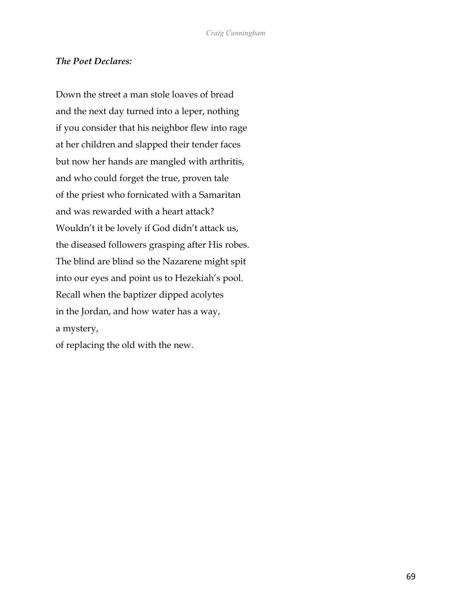### *The Poet Declares:*

Down the street a man stole loaves of bread and the next day turned into a leper, nothing if you consider that his neighbor flew into rage at her children and slapped their tender faces but now her hands are mangled with arthritis, and who could forget the true, proven tale of the priest who fornicated with a Samaritan and was rewarded with a heart attack? Wouldn't it be lovely if God didn't attack us, the diseased followers grasping after His robes. The blind are blind so the Nazarene might spit into our eyes and point us to Hezekiah's pool. Recall when the baptizer dipped acolytes in the Jordan, and how water has a way, a mystery,

of replacing the old with the new.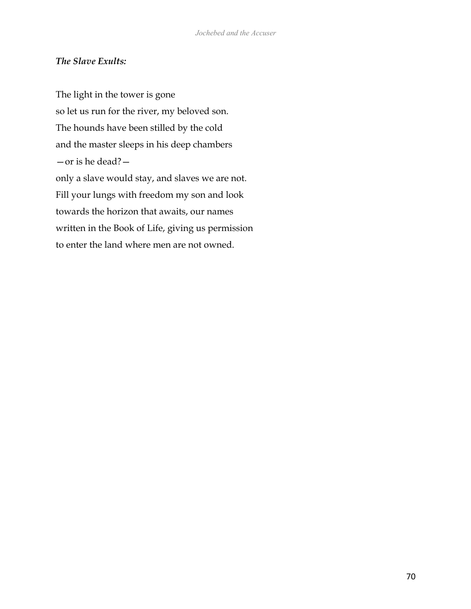### *The Slave Exults:*

The light in the tower is gone so let us run for the river, my beloved son. The hounds have been stilled by the cold and the master sleeps in his deep chambers —or is he dead? only a slave would stay, and slaves we are not. Fill your lungs with freedom my son and look towards the horizon that awaits, our names written in the Book of Life, giving us permission to enter the land where men are not owned.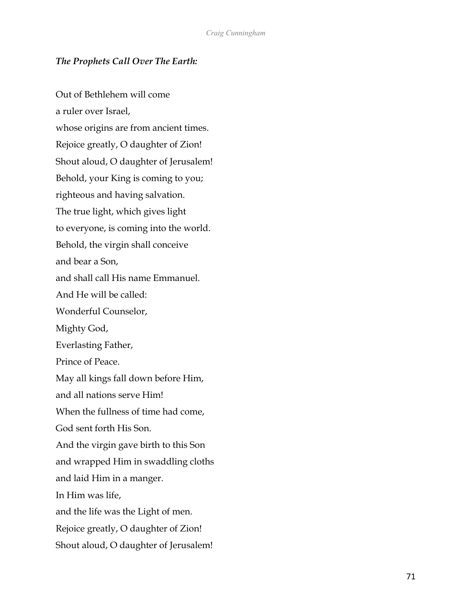### *The Prophets Call Over The Earth:*

Out of Bethlehem will come a ruler over Israel, whose origins are from ancient times. Rejoice greatly, O daughter of Zion! Shout aloud, O daughter of Jerusalem! Behold, your King is coming to you; righteous and having salvation. The true light, which gives light to everyone, is coming into the world. Behold, the virgin shall conceive and bear a Son, and shall call His name Emmanuel. And He will be called: Wonderful Counselor, Mighty God, Everlasting Father, Prince of Peace. May all kings fall down before Him, and all nations serve Him! When the fullness of time had come, God sent forth His Son. And the virgin gave birth to this Son and wrapped Him in swaddling cloths and laid Him in a manger. In Him was life, and the life was the Light of men. Rejoice greatly, O daughter of Zion! Shout aloud, O daughter of Jerusalem!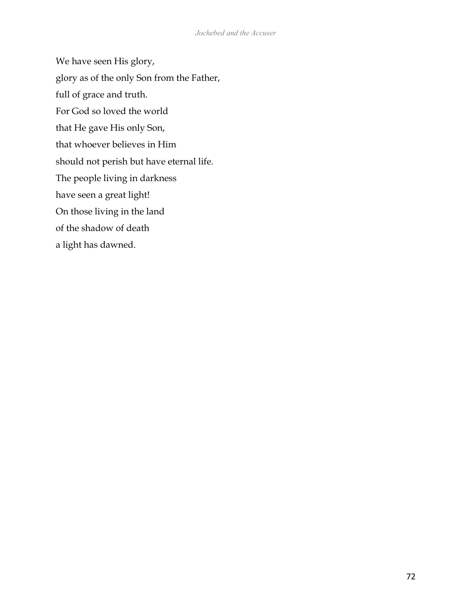We have seen His glory, glory as of the only Son from the Father, full of grace and truth. For God so loved the world that He gave His only Son, that whoever believes in Him should not perish but have eternal life. The people living in darkness have seen a great light! On those living in the land of the shadow of death a light has dawned.